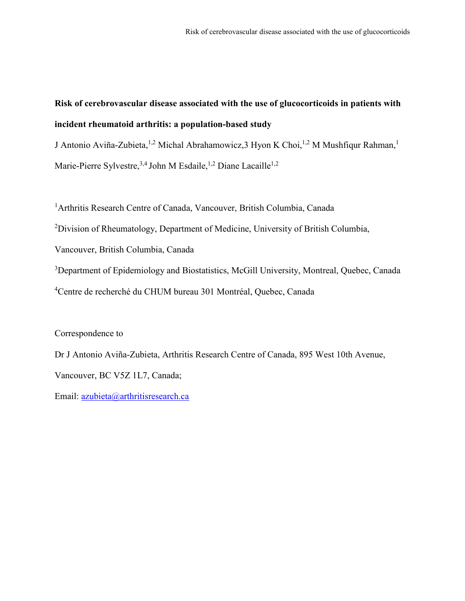# **Risk of cerebrovascular disease associated with the use of glucocorticoids in patients with incident rheumatoid arthritis: a population-based study**

J Antonio Aviña-Zubieta,<sup>1,2</sup> Michal Abrahamowicz,3 Hyon K Choi,<sup>1,2</sup> M Mushfiqur Rahman,<sup>1</sup>

Marie-Pierre Sylvestre,<sup>3,4</sup> John M Esdaile,<sup>1,2</sup> Diane Lacaille<sup>1,2</sup>

<sup>1</sup> Arthritis Research Centre of Canada, Vancouver, British Columbia, Canada

<sup>2</sup>Division of Rheumatology, Department of Medicine, University of British Columbia,

Vancouver, British Columbia, Canada

<sup>3</sup>Department of Epidemiology and Biostatistics, McGill University, Montreal, Quebec, Canada 4 Centre de recherché du CHUM bureau 301 Montréal, Quebec, Canada

#### Correspondence to

Dr J Antonio Aviña-Zubieta, Arthritis Research Centre of Canada, 895 West 10th Avenue, Vancouver, BC V5Z 1L7, Canada;

Email: [azubieta@arthritisresearch.ca](mailto:azubieta@arthritisresearch.ca)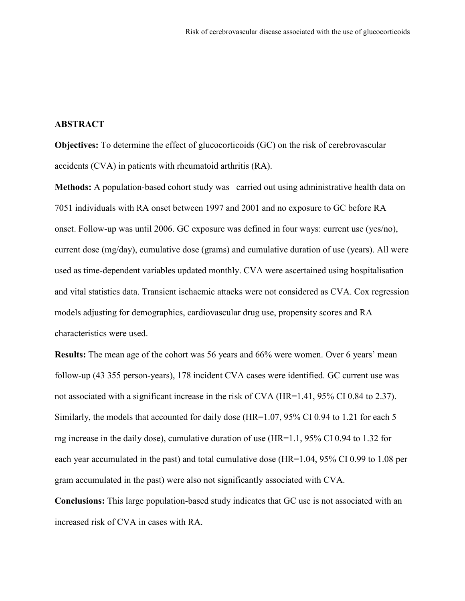# **ABSTRACT**

**Objectives:** To determine the effect of glucocorticoids (GC) on the risk of cerebrovascular accidents (CVA) in patients with rheumatoid arthritis (RA).

**Methods:** A population-based cohort study was carried out using administrative health data on 7051 individuals with RA onset between 1997 and 2001 and no exposure to GC before RA onset. Follow-up was until 2006. GC exposure was defined in four ways: current use (yes/no), current dose (mg/day), cumulative dose (grams) and cumulative duration of use (years). All were used as time-dependent variables updated monthly. CVA were ascertained using hospitalisation and vital statistics data. Transient ischaemic attacks were not considered as CVA. Cox regression models adjusting for demographics, cardiovascular drug use, propensity scores and RA characteristics were used.

**Results:** The mean age of the cohort was 56 years and 66% were women. Over 6 years' mean follow-up (43 355 person-years), 178 incident CVA cases were identified. GC current use was not associated with a significant increase in the risk of CVA (HR=1.41, 95% CI 0.84 to 2.37). Similarly, the models that accounted for daily dose (HR=1.07, 95% CI 0.94 to 1.21 for each 5 mg increase in the daily dose), cumulative duration of use (HR=1.1, 95% CI 0.94 to 1.32 for each year accumulated in the past) and total cumulative dose (HR=1.04, 95% CI 0.99 to 1.08 per gram accumulated in the past) were also not significantly associated with CVA.

**Conclusions:** This large population-based study indicates that GC use is not associated with an increased risk of CVA in cases with RA.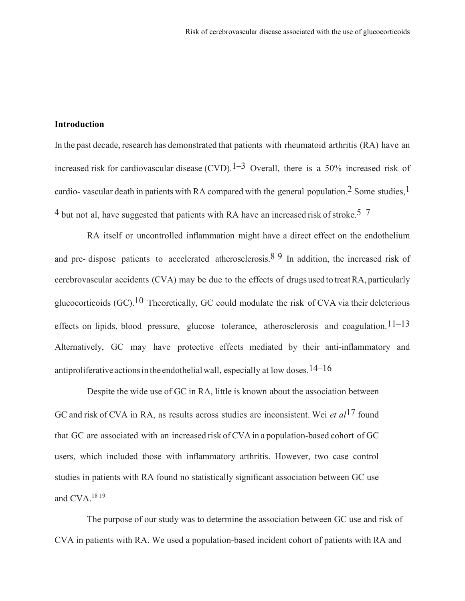#### **Introduction**

In the past decade, research has demonstrated that patients with rheumatoid arthritis (RA) have an increased risk for cardiovascular disease (CVD).<sup>1–3</sup> Overall, there is a 50% increased risk of cardio- vascular death in patients with RA compared with the general population.<sup>2</sup> Some studies,<sup>1</sup>  $4$  but not al, have suggested that patients with RA have an increased risk of stroke  $5-7$ .

RA itself or uncontrolled inflammation might have a direct effect on the endothelium and pre- dispose patients to accelerated atherosclerosis.<sup>8 9</sup> In addition, the increased risk of cerebrovascular accidents (CVA) may be due to the effects of drugs used to treatRA, particularly glucocorticoids  $(GC)$ .<sup>10</sup> Theoretically, GC could modulate the risk of CVA via their deleterious effects on lipids, blood pressure, glucose tolerance, atherosclerosis and coagulation.<sup>11–13</sup> Alternatively, GC may have protective effects mediated by their anti-inflammatory and antiproliferative actions in the endothelial wall, especially at low doses.<sup>14–16</sup>

Despite the wide use of GC in RA, little is known about the association between GC and risk of CVA in RA, as results across studies are inconsistent. Wei *et al*17 found that GC are associated with an increased risk of CVAin a population-based cohort of GC users, which included those with inflammatory arthritis. However, two case–control studies in patients with RA found no statistically significant association between GC use and CVA. $^{18}$ <sup>19</sup>

The purpose of our study was to determine the association between GC use and risk of CVA in patients with RA. We used a population-based incident cohort of patients with RA and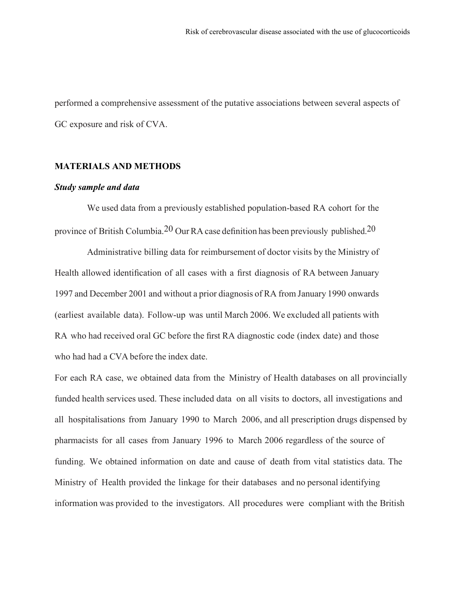performed a comprehensive assessment of the putative associations between several aspects of GC exposure and risk of CVA.

#### **MATERIALS AND METHODS**

#### *Study sample and data*

We used data from a previously established population-based RA cohort for the province of British Columbia.<sup>20</sup> Our RA case definition has been previously published.<sup>20</sup>

Administrative billing data for reimbursement of doctor visits by the Ministry of Health allowed identification of all cases with a first diagnosis of RA between January 1997 and December 2001 and without a prior diagnosis of RA from January 1990 onwards (earliest available data). Follow-up was until March 2006. We excluded all patients with RA who had received oral GC before the first RA diagnostic code (index date) and those who had had a CVA before the index date.

For each RA case, we obtained data from the Ministry of Health databases on all provincially funded health services used. These included data on all visits to doctors, all investigations and all hospitalisations from January 1990 to March 2006, and all prescription drugs dispensed by pharmacists for all cases from January 1996 to March 2006 regardless of the source of funding. We obtained information on date and cause of death from vital statistics data. The Ministry of Health provided the linkage for their databases and no personal identifying information was provided to the investigators. All procedures were compliant with the British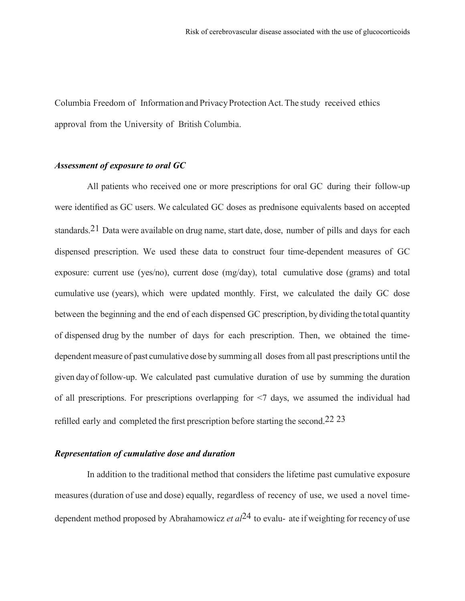Columbia Freedom of Information and PrivacyProtection Act.The study received ethics approval from the University of British Columbia.

#### *Assessment of exposure to oral GC*

All patients who received one or more prescriptions for oral GC during their follow-up were identified as GC users. We calculated GC doses as prednisone equivalents based on accepted standards.21 Data were available on drug name, start date, dose, number of pills and days for each dispensed prescription. We used these data to construct four time-dependent measures of GC exposure: current use (yes/no), current dose (mg/day), total cumulative dose (grams) and total cumulative use (years), which were updated monthly. First, we calculated the daily GC dose between the beginning and the end of each dispensed GC prescription, by dividing the total quantity of dispensed drug by the number of days for each prescription. Then, we obtained the timedependent measure of past cumulative dose by summing all doses from all past prescriptions until the given day of follow-up. We calculated past cumulative duration of use by summing the duration of all prescriptions. For prescriptions overlapping for <7 days, we assumed the individual had refilled early and completed the first prescription before starting the second.22 23

#### *Representation of cumulative dose and duration*

In addition to the traditional method that considers the lifetime past cumulative exposure measures (duration of use and dose) equally, regardless of recency of use, we used a novel timedependent method proposed by Abrahamowicz *et al*24 to evalu- ate if weighting for recency of use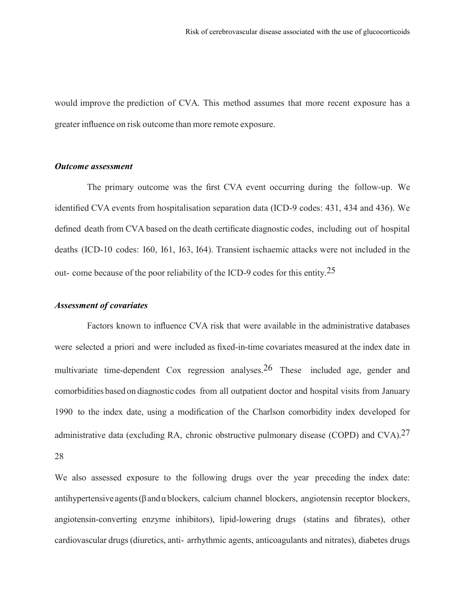would improve the prediction of CVA. This method assumes that more recent exposure has a greater influence on risk outcome than more remote exposure.

#### *Outcome assessment*

The primary outcome was the first CVA event occurring during the follow-up. We identified CVA events from hospitalisation separation data (ICD-9 codes: 431, 434 and 436). We defined death from CVA based on the death certificate diagnostic codes, including out of hospital deaths (ICD-10 codes: I60, I61, I63, I64). Transient ischaemic attacks were not included in the out- come because of the poor reliability of the ICD-9 codes for this entity.<sup>25</sup>

## *Assessment of covariates*

Factors known to influence CVA risk that were available in the administrative databases were selected a priori and were included as fixed-in-time covariates measured at the index date in multivariate time-dependent Cox regression analyses.26 These included age, gender and comorbidities based on diagnostic codes from all outpatient doctor and hospital visits from January 1990 to the index date, using a modification of the Charlson comorbidity index developed for administrative data (excluding RA, chronic obstructive pulmonary disease (COPD) and CVA).27 28

We also assessed exposure to the following drugs over the year preceding the index date: antihypertensive agents ( $\beta$  and  $\alpha$  blockers, calcium channel blockers, angiotensin receptor blockers, angiotensin-converting enzyme inhibitors), lipid-lowering drugs (statins and fibrates), other cardiovascular drugs(diuretics, anti- arrhythmic agents, anticoagulants and nitrates), diabetes drugs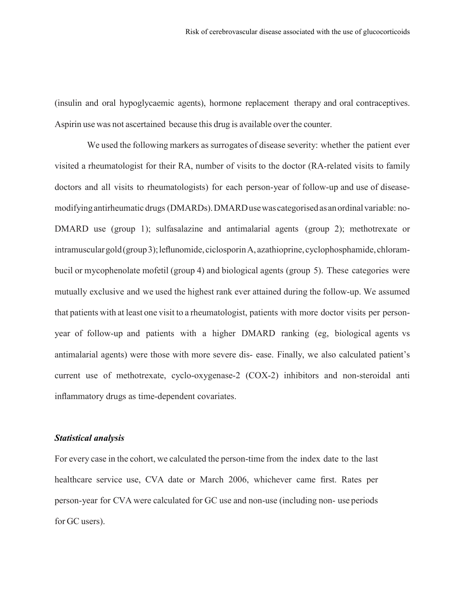(insulin and oral hypoglycaemic agents), hormone replacement therapy and oral contraceptives. Aspirin use was not ascertained because this drug is available over the counter.

We used the following markers as surrogates of disease severity: whether the patient ever visited a rheumatologist for their RA, number of visits to the doctor (RA-related visits to family doctors and all visits to rheumatologists) for each person-year of follow-up and use of diseasemodifyingantirheumatic drugs (DMARDs).DMARDusewas categorisedas anordinalvariable: no-DMARD use (group 1); sulfasalazine and antimalarial agents (group 2); methotrexate or intramuscular gold (group 3); leflunomide, ciclosporin A, azathioprine, cyclophosphamide, chlorambucil or mycophenolate mofetil (group 4) and biological agents (group 5). These categories were mutually exclusive and we used the highest rank ever attained during the follow-up. We assumed that patients with at least one visit to a rheumatologist, patients with more doctor visits per personyear of follow-up and patients with a higher DMARD ranking (eg, biological agents vs antimalarial agents) were those with more severe dis- ease. Finally, we also calculated patient's current use of methotrexate, cyclo-oxygenase-2 (COX-2) inhibitors and non-steroidal anti inflammatory drugs as time-dependent covariates.

## *Statistical analysis*

For every case in the cohort, we calculated the person-time from the index date to the last healthcare service use, CVA date or March 2006, whichever came first. Rates per person-year for CVA were calculated for GC use and non-use (including non- use periods for GC users).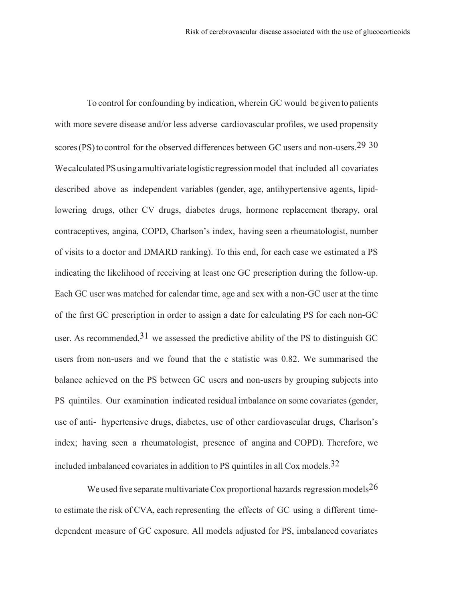To control for confounding by indication, wherein GC would be given to patients with more severe disease and/or less adverse cardiovascular profiles, we used propensity scores (PS) to control for the observed differences between GC users and non-users.<sup>29</sup> 30 WecalculatedPSusingamultivariatelogisticregressionmodel that included all covariates described above as independent variables (gender, age, antihypertensive agents, lipidlowering drugs, other CV drugs, diabetes drugs, hormone replacement therapy, oral contraceptives, angina, COPD, Charlson's index, having seen a rheumatologist, number of visits to a doctor and DMARD ranking). To this end, for each case we estimated a PS indicating the likelihood of receiving at least one GC prescription during the follow-up. Each GC user was matched for calendar time, age and sex with a non-GC user at the time of the first GC prescription in order to assign a date for calculating PS for each non-GC user. As recommended,  $31$  we assessed the predictive ability of the PS to distinguish GC users from non-users and we found that the c statistic was 0.82. We summarised the balance achieved on the PS between GC users and non-users by grouping subjects into PS quintiles. Our examination indicated residual imbalance on some covariates (gender, use of anti- hypertensive drugs, diabetes, use of other cardiovascular drugs, Charlson's index; having seen a rheumatologist, presence of angina and COPD). Therefore, we included imbalanced covariates in addition to PS quintiles in all Cox models.32

We used five separate multivariate Cox proportional hazards regression models<sup>26</sup> to estimate the risk of CVA, each representing the effects of GC using a different timedependent measure of GC exposure. All models adjusted for PS, imbalanced covariates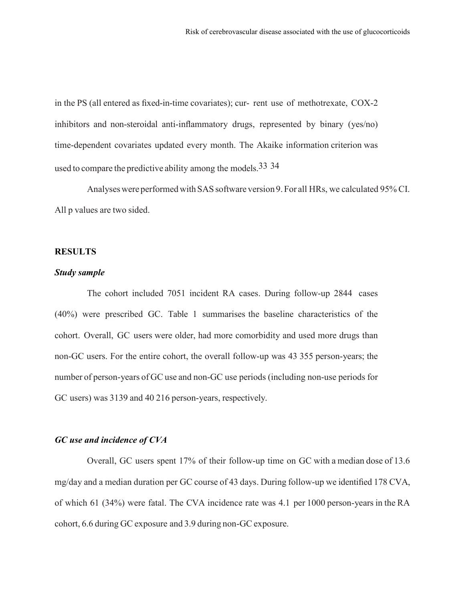in the PS (all entered as fixed-in-time covariates); cur- rent use of methotrexate, COX-2 inhibitors and non-steroidal anti-inflammatory drugs, represented by binary (yes/no) time-dependent covariates updated every month. The Akaike information criterion was used to compare the predictive ability among the models.<sup>33</sup> 34

Analyses were performed with SAS software version 9. For all HRs, we calculated 95% CI. All p values are two sided.

# **RESULTS**

#### *Study sample*

The cohort included 7051 incident RA cases. During follow-up 2844 cases (40%) were prescribed GC. Table 1 summarises the baseline characteristics of the cohort. Overall, GC users were older, had more comorbidity and used more drugs than non-GC users. For the entire cohort, the overall follow-up was 43 355 person-years; the number of person-years of GC use and non-GC use periods (including non-use periods for GC users) was 3139 and 40 216 person-years, respectively.

## *GC use and incidence of CVA*

Overall, GC users spent 17% of their follow-up time on GC with a median dose of 13.6 mg/day and a median duration per GC course of 43 days. During follow-up we identified 178 CVA, of which 61 (34%) were fatal. The CVA incidence rate was 4.1 per 1000 person-years in the RA cohort, 6.6 during GC exposure and 3.9 during non-GC exposure.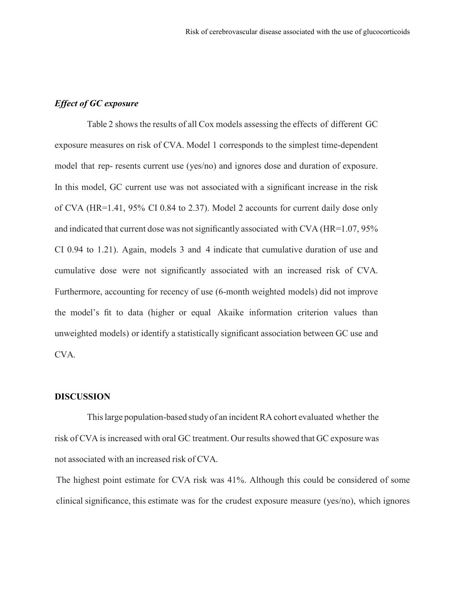#### *Effect of GC exposure*

Table 2 shows the results of all Cox models assessing the effects of different GC exposure measures on risk of CVA. Model 1 corresponds to the simplest time-dependent model that rep- resents current use (yes/no) and ignores dose and duration of exposure. In this model, GC current use was not associated with a significant increase in the risk of CVA (HR=1.41, 95% CI 0.84 to 2.37). Model 2 accounts for current daily dose only and indicated that current dose was notsignificantly associated with CVA (HR=1.07, 95% CI 0.94 to 1.21). Again, models 3 and 4 indicate that cumulative duration of use and cumulative dose were not significantly associated with an increased risk of CVA. Furthermore, accounting for recency of use (6-month weighted models) did not improve the model's fit to data (higher or equal Akaike information criterion values than unweighted models) or identify a statistically significant association between GC use and CVA.

#### **DISCUSSION**

Thislarge population-based study of an incidentRA cohort evaluated whether the risk of CVA is increased with oral GC treatment. Our results showed that GC exposure was not associated with an increased risk of CVA.

The highest point estimate for CVA risk was 41%. Although this could be considered of some clinical significance, this estimate was for the crudest exposure measure (yes/no), which ignores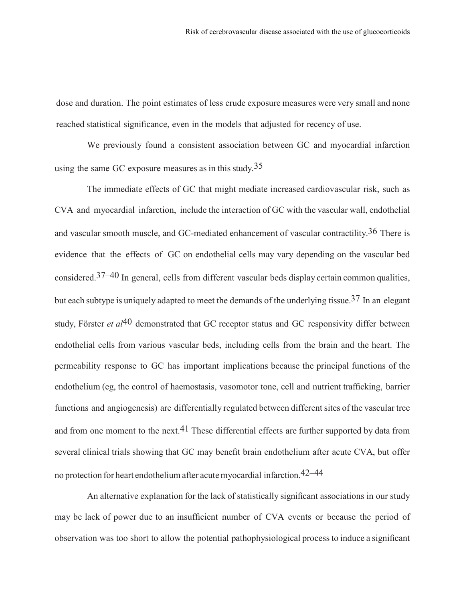dose and duration. The point estimates of less crude exposure measures were very small and none reached statistical significance, even in the models that adjusted for recency of use.

We previously found a consistent association between GC and myocardial infarction using the same GC exposure measures as in this study.<sup>35</sup>

The immediate effects of GC that might mediate increased cardiovascular risk, such as CVA and myocardial infarction, include the interaction of GC with the vascular wall, endothelial and vascular smooth muscle, and GC-mediated enhancement of vascular contractility.36 There is evidence that the effects of GC on endothelial cells may vary depending on the vascular bed considered.37–40 In general, cells from different vascular beds display certain common qualities, but each subtype is uniquely adapted to meet the demands of the underlying tissue.<sup>37</sup> In an elegant study, Förster *et al*40 demonstrated that GC receptor status and GC responsivity differ between endothelial cells from various vascular beds, including cells from the brain and the heart. The permeability response to GC has important implications because the principal functions of the endothelium (eg, the control of haemostasis, vasomotor tone, cell and nutrient trafficking, barrier functions and angiogenesis) are differentially regulated between different sites of the vascular tree and from one moment to the next.<sup>41</sup> These differential effects are further supported by data from several clinical trials showing that GC may benefit brain endothelium after acute CVA, but offer no protection for heart endotheliumafter acutemyocardial infarction.42–44

An alternative explanation for the lack of statistically significant associations in our study may be lack of power due to an insufficient number of CVA events or because the period of observation was too short to allow the potential pathophysiological processto induce a significant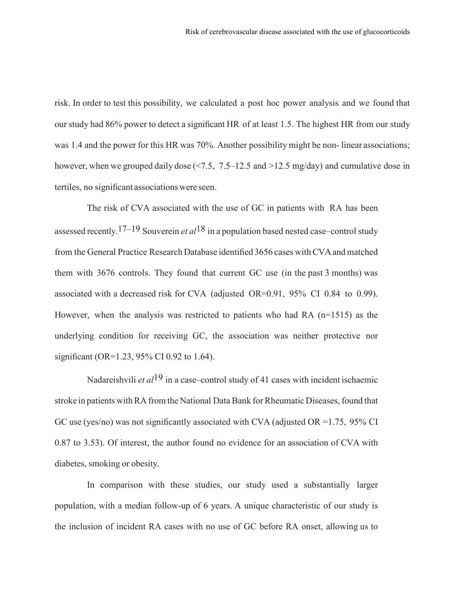risk. In order to test this possibility, we calculated a post hoc power analysis and we found that our study had 86% power to detect a significant HR of at least 1.5. The highest HR from our study was 1.4 and the power for this HR was 70%. Another possibility might be non-linear associations; however, when we grouped daily dose  $\left( \langle 7.5, 7.5 \rangle -12.5 \rangle$  and  $\langle 2.5 \rangle$  mg/day) and cumulative dose in tertiles, no significant associationswere seen.

The risk of CVA associated with the use of GC in patients with RA has been assessed recently. 17–19 Souverein *et al*18 in a population based nested case–control study from the General Practice Research Database identified 3656 cases with CVA and matched them with 3676 controls. They found that current GC use (in the past 3 months) was associated with a decreased risk for CVA (adjusted OR=0.91, 95% CI 0.84 to 0.99). However, when the analysis was restricted to patients who had RA  $(n=1515)$  as the underlying condition for receiving GC, the association was neither protective nor significant (OR=1.23, 95% CI 0.92 to 1.64).

Nadareishvili *et al*19 in a case–control study of 41 cases with incident ischaemic stroke in patients with RA from the National Data Bank for Rheumatic Diseases, found that GC use (yes/no) was not significantly associated with CVA (adjusted OR =1.75, 95% CI 0.87 to 3.53). Of interest, the author found no evidence for an association of CVA with diabetes, smoking or obesity.

In comparison with these studies, our study used a substantially larger population, with a median follow-up of 6 years. A unique characteristic of our study is the inclusion of incident RA cases with no use of GC before RA onset, allowing us to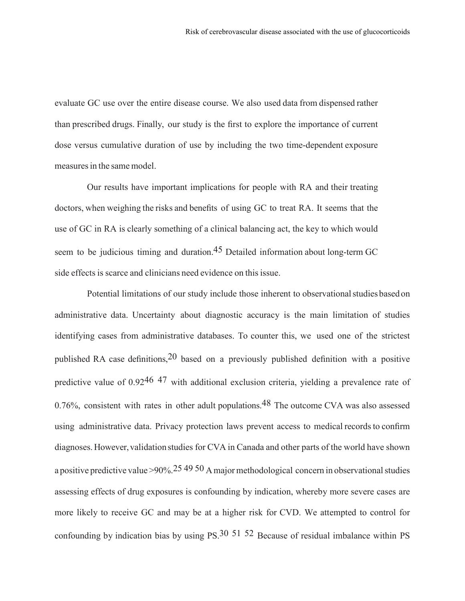evaluate GC use over the entire disease course. We also used data from dispensed rather than prescribed drugs. Finally, our study is the first to explore the importance of current dose versus cumulative duration of use by including the two time-dependent exposure measures in the same model.

Our results have important implications for people with RA and their treating doctors, when weighing the risks and benefits of using GC to treat RA. It seems that the use of GC in RA is clearly something of a clinical balancing act, the key to which would seem to be judicious timing and duration.<sup>45</sup> Detailed information about long-term GC side effects is scarce and clinicians need evidence on this issue.

Potential limitations of our study include those inherent to observational studies based on administrative data. Uncertainty about diagnostic accuracy is the main limitation of studies identifying cases from administrative databases. To counter this, we used one of the strictest published RA case definitions,20 based on a previously published definition with a positive predictive value of 0.9246 47 with additional exclusion criteria, yielding a prevalence rate of 0.76%, consistent with rates in other adult populations.<sup>48</sup> The outcome CVA was also assessed using administrative data. Privacy protection laws prevent access to medical records to confirm diagnoses. However, validation studies for CVA in Canada and other parts of the world have shown a positive predictive value >90%.<sup>25</sup> 49 50 A major methodological concern in observational studies assessing effects of drug exposures is confounding by indication, whereby more severe cases are more likely to receive GC and may be at a higher risk for CVD. We attempted to control for confounding by indication bias by using  $PS<sub>1</sub>30<sub>51</sub>52$  Because of residual imbalance within PS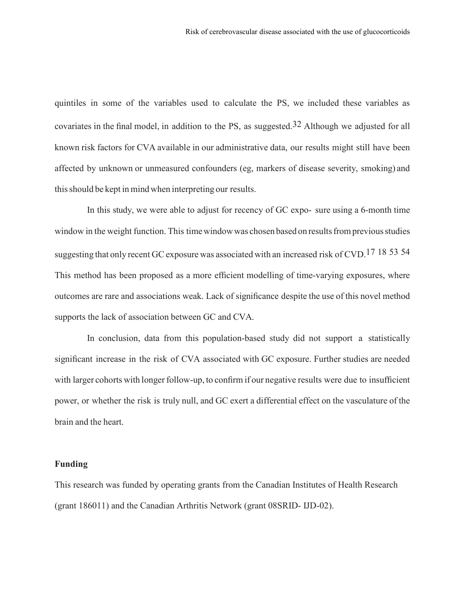quintiles in some of the variables used to calculate the PS, we included these variables as covariates in the final model, in addition to the PS, as suggested  $32$  Although we adjusted for all known risk factors for CVA available in our administrative data, our results might still have been affected by unknown or unmeasured confounders (eg, markers of disease severity, smoking) and thisshould be kept in mind when interpreting our results.

In this study, we were able to adjust for recency of GC expo- sure using a 6-month time window in the weight function. This time window was chosen based on results from previous studies suggesting that only recent GC exposure was associated with an increased risk of CVD.<sup>17 18 53 54</sup> This method has been proposed as a more efficient modelling of time-varying exposures, where outcomes are rare and associations weak. Lack of significance despite the use of this novel method supports the lack of association between GC and CVA.

In conclusion, data from this population-based study did not support a statistically significant increase in the risk of CVA associated with GC exposure. Further studies are needed with larger cohorts with longer follow-up, to confirm if our negative results were due to insufficient power, or whether the risk is truly null, and GC exert a differential effect on the vasculature of the brain and the heart.

### **Funding**

This research was funded by operating grants from the Canadian Institutes of Health Research (grant 186011) and the Canadian Arthritis Network (grant 08SRID- IJD-02).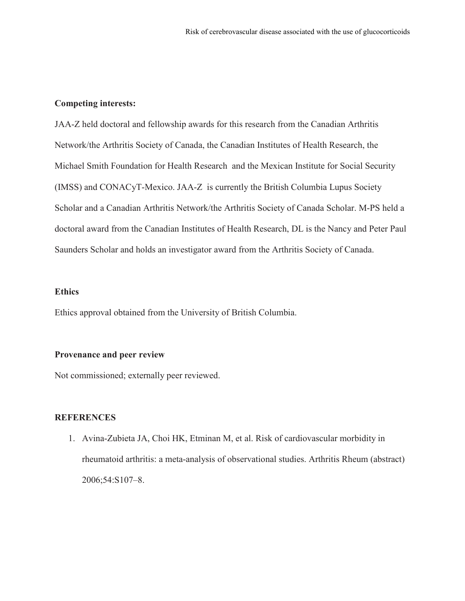### **Competing interests:**

JAA-Z held doctoral and fellowship awards for this research from the Canadian Arthritis Network/the Arthritis Society of Canada, the Canadian Institutes of Health Research, the Michael Smith Foundation for Health Research and the Mexican Institute for Social Security (IMSS) and CONACyT-Mexico. JAA-Z is currently the British Columbia Lupus Society Scholar and a Canadian Arthritis Network/the Arthritis Society of Canada Scholar. M-PS held a doctoral award from the Canadian Institutes of Health Research, DL is the Nancy and Peter Paul Saunders Scholar and holds an investigator award from the Arthritis Society of Canada.

#### **Ethics**

Ethics approval obtained from the University of British Columbia.

#### **Provenance and peer review**

Not commissioned; externally peer reviewed.

# **REFERENCES**

1. Avina-Zubieta JA, Choi HK, Etminan M, et al. Risk of cardiovascular morbidity in rheumatoid arthritis: a meta-analysis of observational studies. Arthritis Rheum (abstract) 2006;54:S107–8.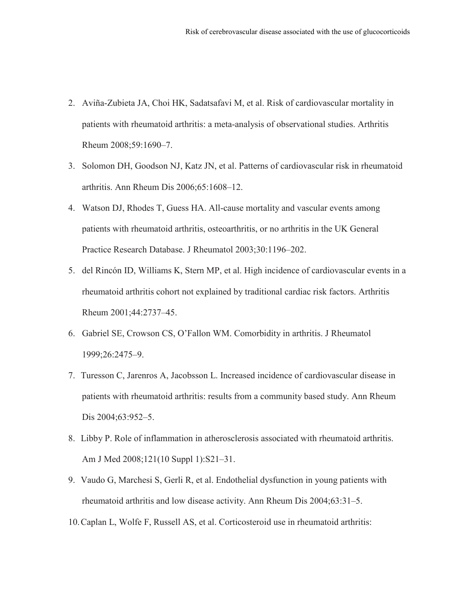- 2. Aviña-Zubieta JA, Choi HK, Sadatsafavi M, et al. Risk of cardiovascular mortality in patients with rheumatoid arthritis: a meta-analysis of observational studies. Arthritis Rheum 2008;59:1690–7.
- 3. Solomon DH, Goodson NJ, Katz JN, et al. Patterns of cardiovascular risk in rheumatoid arthritis. Ann Rheum Dis 2006;65:1608–12.
- 4. Watson DJ, Rhodes T, Guess HA. All-cause mortality and vascular events among patients with rheumatoid arthritis, osteoarthritis, or no arthritis in the UK General Practice Research Database. J Rheumatol 2003;30:1196–202.
- 5. del Rincón ID, Williams K, Stern MP, et al. High incidence of cardiovascular events in a rheumatoid arthritis cohort not explained by traditional cardiac risk factors. Arthritis Rheum 2001;44:2737–45.
- 6. Gabriel SE, Crowson CS, O'Fallon WM. Comorbidity in arthritis. J Rheumatol 1999;26:2475–9.
- 7. Turesson C, Jarenros A, Jacobsson L. Increased incidence of cardiovascular disease in patients with rheumatoid arthritis: results from a community based study. Ann Rheum Dis 2004;63:952-5.
- 8. Libby P. Role of inflammation in atherosclerosis associated with rheumatoid arthritis. Am J Med 2008;121(10 Suppl 1):S21–31.
- 9. Vaudo G, Marchesi S, Gerli R, et al. Endothelial dysfunction in young patients with rheumatoid arthritis and low disease activity. Ann Rheum Dis 2004;63:31–5.
- 10.Caplan L, Wolfe F, Russell AS, et al. Corticosteroid use in rheumatoid arthritis: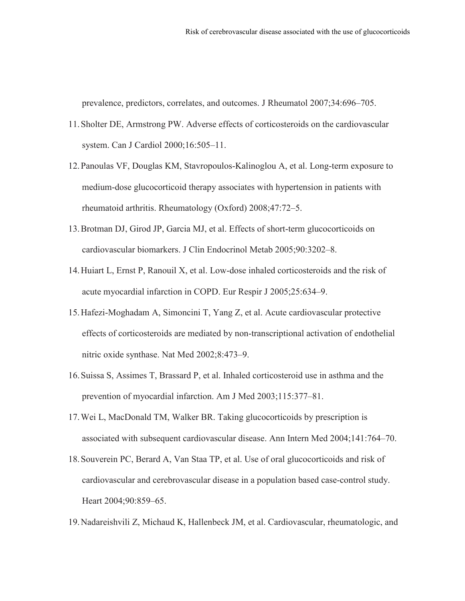prevalence, predictors, correlates, and outcomes. J Rheumatol 2007;34:696–705.

- 11.Sholter DE, Armstrong PW. Adverse effects of corticosteroids on the cardiovascular system. Can J Cardiol 2000;16:505–11.
- 12.Panoulas VF, Douglas KM, Stavropoulos-Kalinoglou A, et al. Long-term exposure to medium-dose glucocorticoid therapy associates with hypertension in patients with rheumatoid arthritis. Rheumatology (Oxford) 2008;47:72–5.
- 13.Brotman DJ, Girod JP, Garcia MJ, et al. Effects of short-term glucocorticoids on cardiovascular biomarkers. J Clin Endocrinol Metab 2005;90:3202–8.
- 14.Huiart L, Ernst P, Ranouil X, et al. Low-dose inhaled corticosteroids and the risk of acute myocardial infarction in COPD. Eur Respir J 2005;25:634–9.
- 15.Hafezi-Moghadam A, Simoncini T, Yang Z, et al. Acute cardiovascular protective effects of corticosteroids are mediated by non-transcriptional activation of endothelial nitric oxide synthase. Nat Med 2002;8:473–9.
- 16.Suissa S, Assimes T, Brassard P, et al. Inhaled corticosteroid use in asthma and the prevention of myocardial infarction. Am J Med 2003;115:377–81.
- 17.Wei L, MacDonald TM, Walker BR. Taking glucocorticoids by prescription is associated with subsequent cardiovascular disease. Ann Intern Med 2004;141:764–70.
- 18.Souverein PC, Berard A, Van Staa TP, et al. Use of oral glucocorticoids and risk of cardiovascular and cerebrovascular disease in a population based case-control study. Heart 2004;90:859–65.
- 19.Nadareishvili Z, Michaud K, Hallenbeck JM, et al. Cardiovascular, rheumatologic, and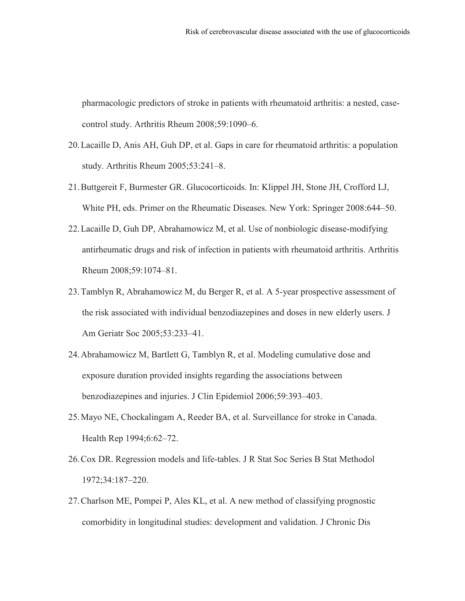pharmacologic predictors of stroke in patients with rheumatoid arthritis: a nested, casecontrol study. Arthritis Rheum 2008;59:1090–6.

- 20.Lacaille D, Anis AH, Guh DP, et al. Gaps in care for rheumatoid arthritis: a population study. Arthritis Rheum 2005;53:241–8.
- 21.Buttgereit F, Burmester GR. Glucocorticoids. In: Klippel JH, Stone JH, Crofford LJ, White PH, eds. Primer on the Rheumatic Diseases. New York: Springer 2008:644–50.
- 22.Lacaille D, Guh DP, Abrahamowicz M, et al. Use of nonbiologic disease-modifying antirheumatic drugs and risk of infection in patients with rheumatoid arthritis. Arthritis Rheum 2008;59:1074–81.
- 23.Tamblyn R, Abrahamowicz M, du Berger R, et al. A 5-year prospective assessment of the risk associated with individual benzodiazepines and doses in new elderly users. J Am Geriatr Soc 2005;53:233–41.
- 24.Abrahamowicz M, Bartlett G, Tamblyn R, et al. Modeling cumulative dose and exposure duration provided insights regarding the associations between benzodiazepines and injuries. J Clin Epidemiol 2006;59:393–403.
- 25.Mayo NE, Chockalingam A, Reeder BA, et al. Surveillance for stroke in Canada. Health Rep 1994;6:62–72.
- 26.Cox DR. Regression models and life-tables. J R Stat Soc Series B Stat Methodol 1972;34:187–220.
- 27.Charlson ME, Pompei P, Ales KL, et al. A new method of classifying prognostic comorbidity in longitudinal studies: development and validation. J Chronic Dis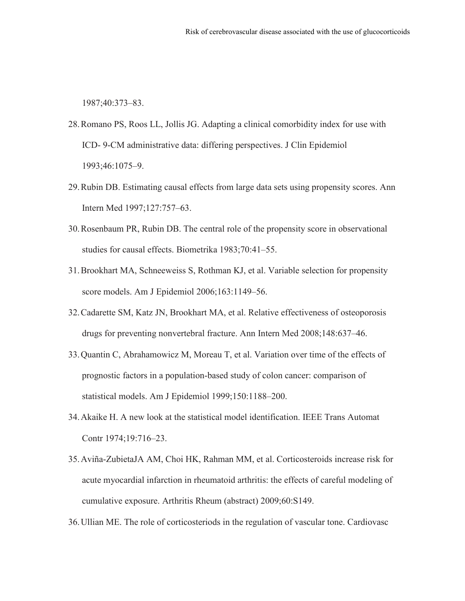1987;40:373–83.

- 28.Romano PS, Roos LL, Jollis JG. Adapting a clinical comorbidity index for use with ICD- 9-CM administrative data: differing perspectives. J Clin Epidemiol 1993;46:1075–9.
- 29.Rubin DB. Estimating causal effects from large data sets using propensity scores. Ann Intern Med 1997;127:757–63.
- 30.Rosenbaum PR, Rubin DB. The central role of the propensity score in observational studies for causal effects. Biometrika 1983;70:41–55.
- 31.Brookhart MA, Schneeweiss S, Rothman KJ, et al. Variable selection for propensity score models. Am J Epidemiol 2006;163:1149–56.
- 32.Cadarette SM, Katz JN, Brookhart MA, et al. Relative effectiveness of osteoporosis drugs for preventing nonvertebral fracture. Ann Intern Med 2008;148:637–46.
- 33.Quantin C, Abrahamowicz M, Moreau T, et al. Variation over time of the effects of prognostic factors in a population-based study of colon cancer: comparison of statistical models. Am J Epidemiol 1999;150:1188–200.
- 34.Akaike H. A new look at the statistical model identification. IEEE Trans Automat Contr 1974;19:716–23.
- 35.Aviña-ZubietaJA AM, Choi HK, Rahman MM, et al. Corticosteroids increase risk for acute myocardial infarction in rheumatoid arthritis: the effects of careful modeling of cumulative exposure. Arthritis Rheum (abstract) 2009;60:S149.
- 36.Ullian ME. The role of corticosteriods in the regulation of vascular tone. Cardiovasc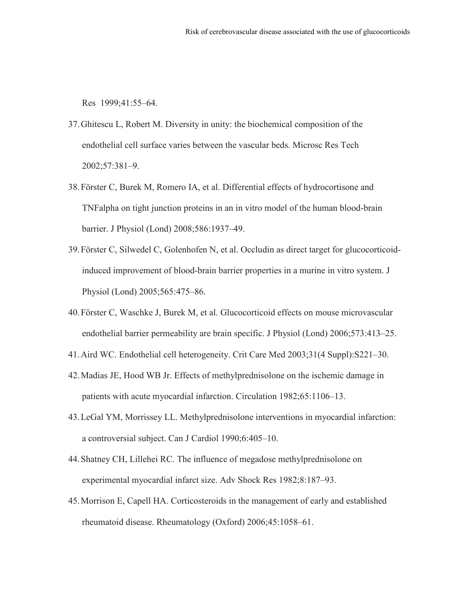Res 1999;41:55–64.

- 37.Ghitescu L, Robert M. Diversity in unity: the biochemical composition of the endothelial cell surface varies between the vascular beds. Microsc Res Tech 2002;57:381–9.
- 38.Förster C, Burek M, Romero IA, et al. Differential effects of hydrocortisone and TNFalpha on tight junction proteins in an in vitro model of the human blood-brain barrier. J Physiol (Lond) 2008;586:1937–49.
- 39.Förster C, Silwedel C, Golenhofen N, et al. Occludin as direct target for glucocorticoidinduced improvement of blood-brain barrier properties in a murine in vitro system. J Physiol (Lond) 2005;565:475–86.
- 40.Förster C, Waschke J, Burek M, et al. Glucocorticoid effects on mouse microvascular endothelial barrier permeability are brain specific. J Physiol (Lond) 2006;573:413–25.
- 41.Aird WC. Endothelial cell heterogeneity. Crit Care Med 2003;31(4 Suppl):S221–30.
- 42.Madias JE, Hood WB Jr. Effects of methylprednisolone on the ischemic damage in patients with acute myocardial infarction. Circulation 1982;65:1106–13.
- 43.LeGal YM, Morrissey LL. Methylprednisolone interventions in myocardial infarction: a controversial subject. Can J Cardiol 1990;6:405–10.
- 44.Shatney CH, Lillehei RC. The influence of megadose methylprednisolone on experimental myocardial infarct size. Adv Shock Res 1982;8:187–93.
- 45.Morrison E, Capell HA. Corticosteroids in the management of early and established rheumatoid disease. Rheumatology (Oxford) 2006;45:1058–61.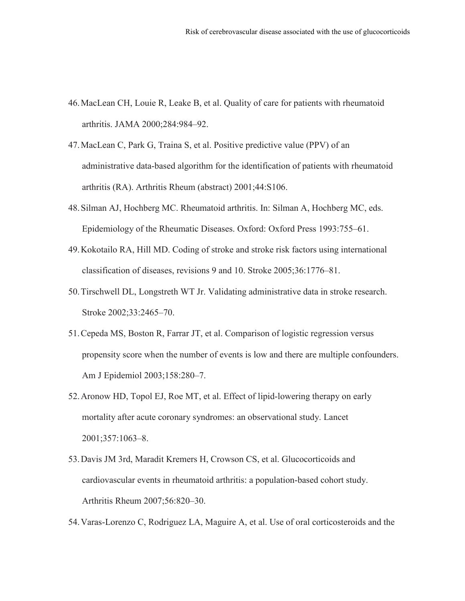- 46.MacLean CH, Louie R, Leake B, et al. Quality of care for patients with rheumatoid arthritis. JAMA 2000;284:984–92.
- 47.MacLean C, Park G, Traina S, et al. Positive predictive value (PPV) of an administrative data-based algorithm for the identification of patients with rheumatoid arthritis (RA). Arthritis Rheum (abstract) 2001;44:S106.
- 48.Silman AJ, Hochberg MC. Rheumatoid arthritis. In: Silman A, Hochberg MC, eds. Epidemiology of the Rheumatic Diseases. Oxford: Oxford Press 1993:755–61.
- 49.Kokotailo RA, Hill MD. Coding of stroke and stroke risk factors using international classification of diseases, revisions 9 and 10. Stroke 2005;36:1776–81.
- 50.Tirschwell DL, Longstreth WT Jr. Validating administrative data in stroke research. Stroke 2002;33:2465–70.
- 51.Cepeda MS, Boston R, Farrar JT, et al. Comparison of logistic regression versus propensity score when the number of events is low and there are multiple confounders. Am J Epidemiol 2003;158:280–7.
- 52.Aronow HD, Topol EJ, Roe MT, et al. Effect of lipid-lowering therapy on early mortality after acute coronary syndromes: an observational study. Lancet 2001;357:1063–8.
- 53.Davis JM 3rd, Maradit Kremers H, Crowson CS, et al. Glucocorticoids and cardiovascular events in rheumatoid arthritis: a population-based cohort study. Arthritis Rheum 2007;56:820–30.
- 54.Varas-Lorenzo C, Rodriguez LA, Maguire A, et al. Use of oral corticosteroids and the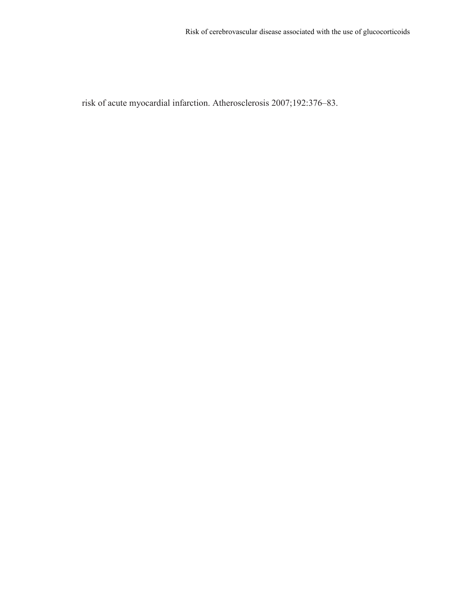risk of acute myocardial infarction. Atherosclerosis 2007;192:376–83.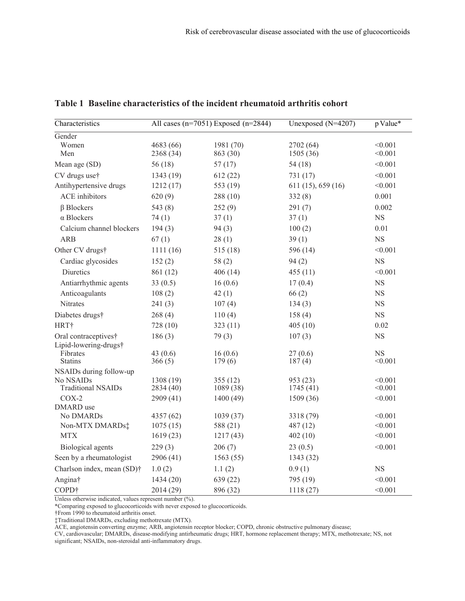| Characteristics                           | All cases ( $n=7051$ ) Exposed ( $n=2844$ ) |           | Unexposed $(N=4207)$ | p Value*    |  |
|-------------------------------------------|---------------------------------------------|-----------|----------------------|-------------|--|
| Gender                                    |                                             |           |                      |             |  |
| Women                                     | 4683 (66)                                   | 1981 (70) | 2702 (64)            | < 0.001     |  |
| Men                                       | 2368 (34)                                   | 863 (30)  | 1505 (36)            | < 0.001     |  |
| Mean age (SD)                             | 56(18)                                      | 57(17)    | 54(18)               | < 0.001     |  |
| CV drugs use†                             | 1343 (19)                                   | 612(22)   | 731 (17)             | < 0.001     |  |
| Antihypertensive drugs                    | 1212(17)                                    | 553 (19)  | 611(15), 659(16)     | < 0.001     |  |
| ACE inhibitors                            | 620(9)                                      | 288(10)   | 332(8)               | 0.001       |  |
| $\beta$ Blockers                          | 543 (8)                                     | 252(9)    | 291(7)               | 0.002       |  |
| $\alpha$ Blockers                         | 74(1)                                       | 37(1)     | 37(1)                | $_{\rm NS}$ |  |
| Calcium channel blockers                  | 194(3)                                      | 94(3)     | 100(2)               | 0.01        |  |
| <b>ARB</b>                                | 67(1)                                       | 28(1)     | 39(1)                | $_{\rm NS}$ |  |
| Other CV drugs†                           | 1111(16)                                    | 515(18)   | 596 (14)             | < 0.001     |  |
| Cardiac glycosides                        | 152(2)                                      | 58(2)     | 94(2)                | <b>NS</b>   |  |
| Diuretics                                 | 861 (12)                                    | 406(14)   | 455(11)              | < 0.001     |  |
| Antiarrhythmic agents                     | 33(0.5)                                     | 16(0.6)   | 17(0.4)              | <b>NS</b>   |  |
| Anticoagulants                            | 108(2)                                      | 42(1)     | 66(2)                | <b>NS</b>   |  |
| Nitrates                                  | 241(3)                                      | 107(4)    | 134(3)               | NS          |  |
| Diabetes drugs†                           | 268(4)                                      | 110(4)    | 158(4)               | $_{\rm NS}$ |  |
| HRT†                                      | 728 (10)                                    | 323(11)   | 405(10)              | 0.02        |  |
| Oral contraceptives†                      | 186(3)                                      | 79(3)     | 107(3)               | $_{\rm NS}$ |  |
| Lipid-lowering-drugs†                     |                                             |           |                      |             |  |
| Fibrates                                  | 43 $(0.6)$                                  | 16(0.6)   | 27(0.6)              | <b>NS</b>   |  |
| <b>Statins</b><br>NSAIDs during follow-up | 366(5)                                      | 179(6)    | 187(4)               | < 0.001     |  |
| No NSAIDs                                 | 1308 (19)                                   | 355(12)   | 953 (23)             | < 0.001     |  |
| <b>Traditional NSAIDs</b>                 | 2834 (40)                                   | 1089(38)  | 1745(41)             | < 0.001     |  |
| $COX-2$                                   | 2909 (41)                                   | 1400(49)  | 1509 (36)            | < 0.001     |  |
| DMARD use                                 |                                             |           |                      |             |  |
| No DMARDs                                 | 4357 (62)                                   | 1039(37)  | 3318 (79)            | < 0.001     |  |
| Non-MTX DMARDs:                           | 1075(15)                                    | 588 (21)  | 487 (12)             | < 0.001     |  |
| <b>MTX</b>                                | 1619(23)                                    | 1217(43)  | 402(10)              | < 0.001     |  |
| Biological agents                         | 229(3)                                      | 206(7)    | 23(0.5)              | < 0.001     |  |
| Seen by a rheumatologist                  | 2906 (41)                                   | 1563(55)  | 1343 (32)            |             |  |
| Charlson index, mean (SD) <sup>†</sup>    | 1.0(2)                                      | 1.1(2)    | 0.9(1)               | NS          |  |
| Angina†                                   | 1434 (20)                                   | 639 (22)  | 795 (19)             | < 0.001     |  |
| COPD <sup>+</sup>                         | 2014 (29)                                   | 896 (32)  | 1118(27)             | < 0.001     |  |

## **Table 1 Baseline characteristics of the incident rheumatoid arthritis cohort**

Unless otherwise indicated, values represent number (%).

\*Comparing exposed to glucocorticoids with never exposed to glucocorticoids.

†From 1990 to rheumatoid arthritis onset.

‡Traditional DMARDs, excluding methotrexate (MTX).

ACE, angiotensin converting enzyme; ARB, angiotensin receptor blocker; COPD, chronic obstructive pulmonary disease;

CV, cardiovascular; DMARDs, disease-modifying antirheumatic drugs; HRT, hormone replacement therapy; MTX, methotrexate; NS, not significant; NSAIDs, non-steroidal anti-inflammatory drugs.